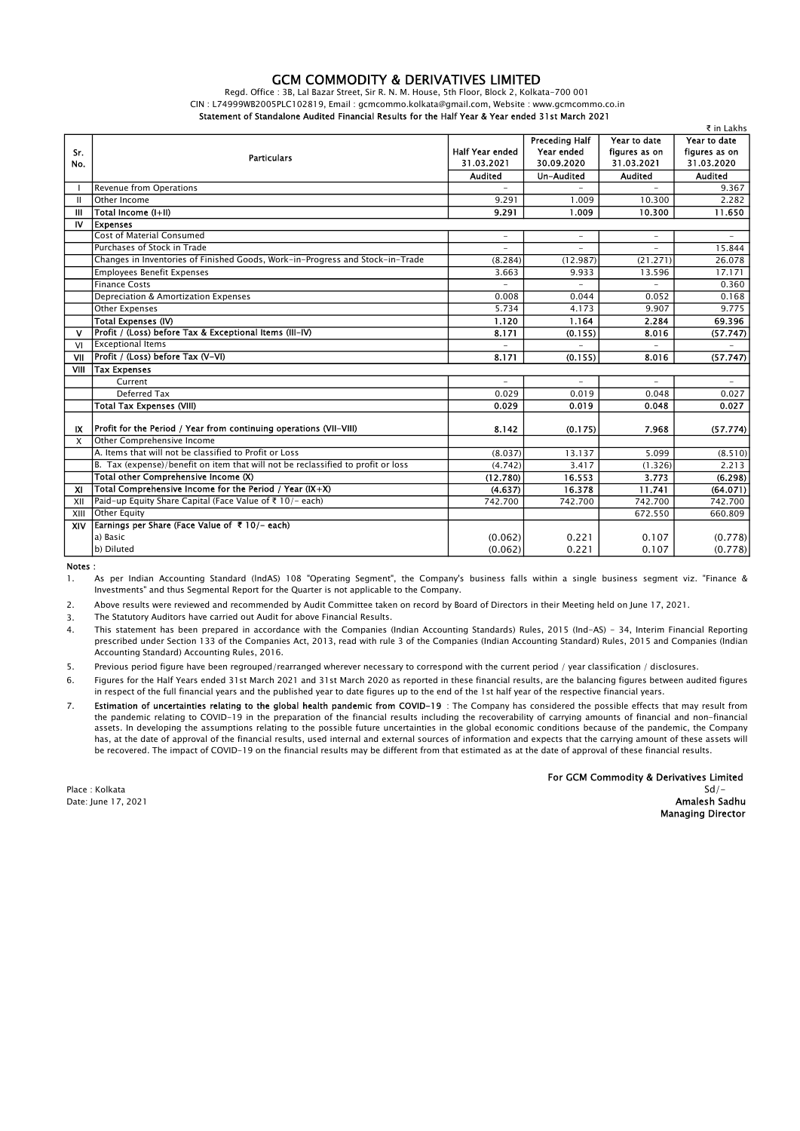## GCM COMMODITY & DERIVATIVES LIMITED

Regd. Office : 3B, Lal Bazar Street, Sir R. N. M. House, 5th Floor, Block 2, Kolkata-700 001 CIN : L74999WB2005PLC102819, Email : gcmcommo.kolkata@gmail.com, Website : www.gcmcommo.co.in Statement of Standalone Audited Financial Results for the Half Year & Year ended 31st March 2021

| ₹ in Lakhs                |                                                                                  |                          |                       |                          |                          |  |  |  |
|---------------------------|----------------------------------------------------------------------------------|--------------------------|-----------------------|--------------------------|--------------------------|--|--|--|
| Sr.<br>No.                | <b>Particulars</b>                                                               |                          | <b>Preceding Half</b> | Year to date             | Year to date             |  |  |  |
|                           |                                                                                  | <b>Half Year ended</b>   | Year ended            | figures as on            | figures as on            |  |  |  |
|                           |                                                                                  | 31.03.2021               | 30.09.2020            | 31.03.2021               | 31.03.2020               |  |  |  |
|                           |                                                                                  | Audited                  | Un-Audited            | <b>Audited</b>           | <b>Audited</b>           |  |  |  |
|                           | <b>Revenue from Operations</b>                                                   |                          |                       |                          | 9.367                    |  |  |  |
| Ш                         | Other Income                                                                     | 9.291                    | 1.009                 | 10.300                   | 2.282                    |  |  |  |
| Ш                         | Total Income (I+II)                                                              | 9.291                    | 1.009                 | 10.300                   | 11.650                   |  |  |  |
| IV                        | <b>Expenses</b>                                                                  |                          |                       |                          |                          |  |  |  |
|                           | <b>Cost of Material Consumed</b>                                                 | ۳                        | ۰                     | $\overline{\phantom{a}}$ | $\overline{\phantom{a}}$ |  |  |  |
|                           | Purchases of Stock in Trade                                                      | ۳                        |                       | ÷                        | 15.844                   |  |  |  |
|                           | Changes in Inventories of Finished Goods, Work-in-Progress and Stock-in-Trade    | (8.284)                  | (12.987)              | (21.271)                 | 26.078                   |  |  |  |
|                           | <b>Employees Benefit Expenses</b>                                                | 3.663                    | 9.933                 | 13.596                   | 17.171                   |  |  |  |
|                           | Finance Costs                                                                    | $\overline{\phantom{0}}$ |                       |                          | 0.360                    |  |  |  |
|                           | Depreciation & Amortization Expenses                                             | 0.008                    | 0.044                 | 0.052                    | 0.168                    |  |  |  |
|                           | Other Expenses                                                                   | 5.734                    | 4.173                 | 9.907                    | 9.775                    |  |  |  |
|                           | Total Expenses (IV)                                                              | 1.120                    | 1.164                 | 2.284                    | 69.396                   |  |  |  |
| $\mathbf v$               | Profit / (Loss) before Tax & Exceptional Items (III-IV)                          | 8.171                    | (0.155)               | 8.016                    | (57.747)                 |  |  |  |
| VI                        | <b>Exceptional Items</b>                                                         |                          |                       |                          |                          |  |  |  |
| VII                       | Profit / (Loss) before Tax (V-VI)                                                | 8.171                    | (0.155)               | 8.016                    | (57.747)                 |  |  |  |
| VIII                      | Tax Expenses                                                                     |                          |                       |                          |                          |  |  |  |
|                           | Current                                                                          |                          |                       |                          |                          |  |  |  |
|                           | Deferred Tax                                                                     | 0.029                    | 0.019                 | 0.048                    | 0.027                    |  |  |  |
|                           | <b>Total Tax Expenses (VIII)</b>                                                 | 0.029                    | 0.019                 | 0.048                    | 0.027                    |  |  |  |
|                           |                                                                                  |                          |                       |                          |                          |  |  |  |
| IX                        | Profit for the Period / Year from continuing operations (VII-VIII)               | 8.142                    | (0.175)               | 7.968                    | (57.774)                 |  |  |  |
| X                         | Other Comprehensive Income                                                       |                          |                       |                          |                          |  |  |  |
|                           | A. Items that will not be classified to Profit or Loss                           | (8.037)                  | 13.137                | 5.099                    | (8.510)                  |  |  |  |
|                           | B. Tax (expense)/benefit on item that will not be reclassified to profit or loss | (4.742)                  | 3.417                 | (1.326)                  | 2.213                    |  |  |  |
|                           | Total other Comprehensive Income (X)                                             | (12.780)                 | 16.553                | 3.773                    | (6.298)                  |  |  |  |
| $\boldsymbol{\mathsf{X}}$ | Total Comprehensive Income for the Period / Year $(X+X)$                         | (4.637)                  | 16.378                | 11.741                   | (64.071)                 |  |  |  |
| XII                       | Paid-up Equity Share Capital (Face Value of ₹ 10/- each)                         | 742.700                  | 742.700               | 742.700                  | 742.700                  |  |  |  |
| XIII                      | Other Equity                                                                     |                          |                       | 672.550                  | 660.809                  |  |  |  |
| XIV                       | Earnings per Share (Face Value of ₹ 10/- each)                                   |                          |                       |                          |                          |  |  |  |
|                           | a) Basic                                                                         | (0.062)                  | 0.221                 | 0.107                    | (0.778)                  |  |  |  |
|                           | b) Diluted                                                                       | (0.062)                  | 0.221                 | 0.107                    | (0.778)                  |  |  |  |

Notes :

1. As per Indian Accounting Standard (lndAS) 108 "Operating Segment", the Company's business falls within a single business segment viz. "Finance & Investments" and thus Segmental Report for the Quarter is not applicable to the Company.

2. Above results were reviewed and recommended by Audit Committee taken on record by Board of Directors in their Meeting held on June 17, 2021.

3. The Statutory Auditors have carried out Audit for above Financial Results.

4. This statement has been prepared in accordance with the Companies (Indian Accounting Standards) Rules, 2015 (Ind-AS) - 34, Interim Financial Reporting prescribed under Section 133 of the Companies Act, 2013, read with rule 3 of the Companies (Indian Accounting Standard) Rules, 2015 and Companies (Indian Accounting Standard) Accounting Rules, 2016.

5. Previous period figure have been regrouped/rearranged wherever necessary to correspond with the current period / year classification / disclosures.

6. Figures for the Half Years ended 31st March 2021 and 31st March 2020 as reported in these financial results, are the balancing figures between audited figures in respect of the full financial years and the published year to date figures up to the end of the 1st half year of the respective financial years.

7. Estimation of uncertainties relating to the global health pandemic from COVID-19 : The Company has considered the possible effects that may result from the pandemic relating to COVID-19 in the preparation of the financial results including the recoverability of carrying amounts of financial and non-financial assets. In developing the assumptions relating to the possible future uncertainties in the global economic conditions because of the pandemic, the Company has, at the date of approval of the financial results, used internal and external sources of information and expects that the carrying amount of these assets will be recovered. The impact of COVID-19 on the financial results may be different from that estimated as at the date of approval of these financial results.

For GCM Commodity & Derivatives Limited Place : Kolkata Sd/- Date: June 17, 2021 **Amalesh Sadhu** and the second term of the second term of the second term of the second term of the second term of the second term of the second term of the second term of the second term of the second Managing Director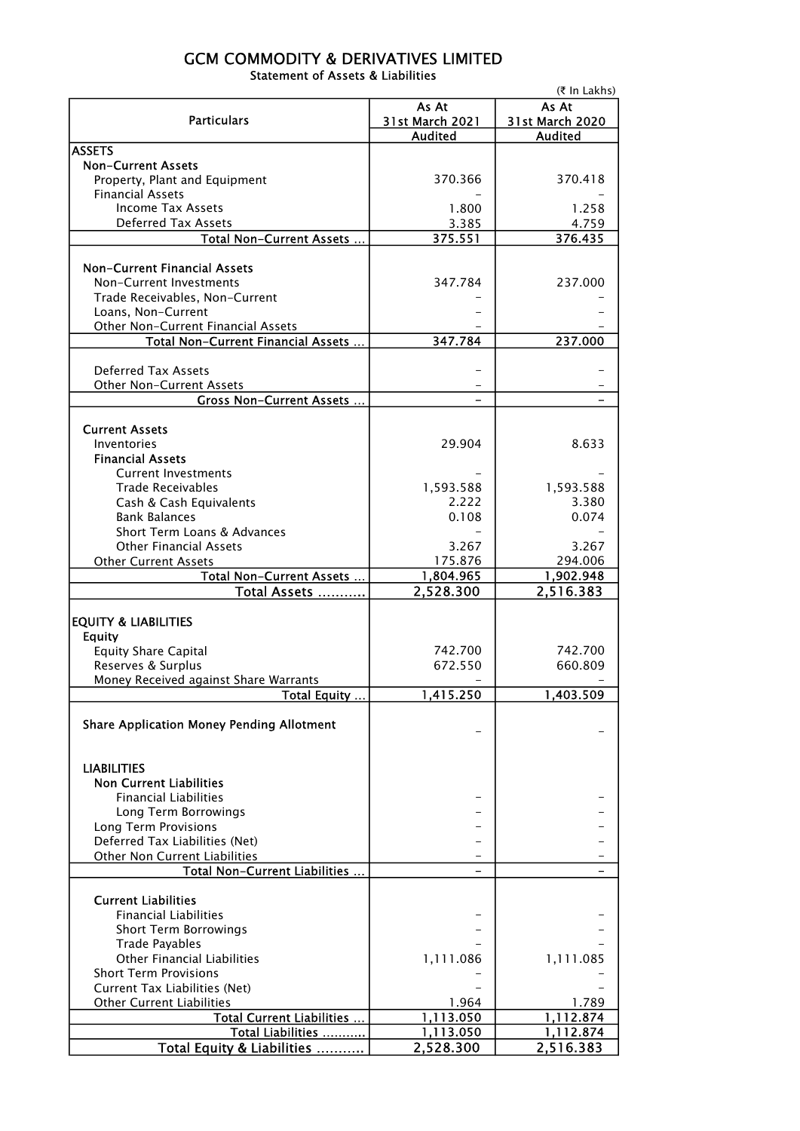## GCM COMMODITY & DERIVATIVES LIMITED Statement of Assets & Liabilities

|                                                              | (₹ In Lakhs)       |                 |  |  |  |
|--------------------------------------------------------------|--------------------|-----------------|--|--|--|
|                                                              | As At              | As At           |  |  |  |
| <b>Particulars</b>                                           | 31st March 2021    | 31st March 2020 |  |  |  |
| <b>ASSETS</b>                                                | <b>Audited</b>     | <b>Audited</b>  |  |  |  |
| <b>Non-Current Assets</b>                                    |                    |                 |  |  |  |
| Property, Plant and Equipment                                | 370.366            | 370.418         |  |  |  |
| <b>Financial Assets</b>                                      |                    |                 |  |  |  |
| <b>Income Tax Assets</b>                                     | 1.800              | 1.258           |  |  |  |
| <b>Deferred Tax Assets</b>                                   | 3.385              | 4.759           |  |  |  |
| Total Non-Current Assets                                     | 375.551            | 376.435         |  |  |  |
|                                                              |                    |                 |  |  |  |
| <b>Non-Current Financial Assets</b>                          |                    |                 |  |  |  |
| Non-Current Investments                                      | 347.784            | 237.000         |  |  |  |
| Trade Receivables, Non-Current                               |                    |                 |  |  |  |
| Loans, Non-Current                                           |                    |                 |  |  |  |
| Other Non-Current Financial Assets                           |                    |                 |  |  |  |
| Total Non-Current Financial Assets                           | 347.784            | 237.000         |  |  |  |
|                                                              |                    |                 |  |  |  |
| <b>Deferred Tax Assets</b>                                   |                    |                 |  |  |  |
| Other Non-Current Assets<br><b>Gross Non-Current Assets </b> |                    |                 |  |  |  |
|                                                              |                    |                 |  |  |  |
| <b>Current Assets</b>                                        |                    |                 |  |  |  |
| Inventories                                                  | 29.904             | 8.633           |  |  |  |
| <b>Financial Assets</b>                                      |                    |                 |  |  |  |
| <b>Current Investments</b>                                   |                    |                 |  |  |  |
| <b>Trade Receivables</b>                                     | 1,593.588          | 1,593.588       |  |  |  |
| Cash & Cash Equivalents                                      | 2.222              | 3.380           |  |  |  |
| <b>Bank Balances</b>                                         | 0.108              | 0.074           |  |  |  |
| Short Term Loans & Advances                                  |                    |                 |  |  |  |
| <b>Other Financial Assets</b>                                | 3.267              | 3.267           |  |  |  |
| <b>Other Current Assets</b>                                  | 175.876            | 294.006         |  |  |  |
| Total Non-Current Assets                                     | 1,804.965          | 1,902.948       |  |  |  |
| Total Assets                                                 | 2,528.300          | 2,516.383       |  |  |  |
|                                                              |                    |                 |  |  |  |
| <b>EQUITY &amp; LIABILITIES</b>                              |                    |                 |  |  |  |
| <b>Equity</b>                                                |                    |                 |  |  |  |
| <b>Equity Share Capital</b><br>Reserves & Surplus            | 742.700<br>672.550 | 742.700         |  |  |  |
|                                                              |                    | 660.809         |  |  |  |
| Money Received against Share Warrants<br>Total Equity        | 1,415.250          | 1,403.509       |  |  |  |
|                                                              |                    |                 |  |  |  |
| <b>Share Application Money Pending Allotment</b>             |                    |                 |  |  |  |
|                                                              |                    |                 |  |  |  |
|                                                              |                    |                 |  |  |  |
| <b>LIABILITIES</b>                                           |                    |                 |  |  |  |
| <b>Non Current Liabilities</b>                               |                    |                 |  |  |  |
| <b>Financial Liabilities</b>                                 |                    |                 |  |  |  |
| Long Term Borrowings                                         |                    |                 |  |  |  |
| Long Term Provisions                                         |                    |                 |  |  |  |
| Deferred Tax Liabilities (Net)                               |                    |                 |  |  |  |
| Other Non Current Liabilities                                |                    |                 |  |  |  |
| Total Non-Current Liabilities                                |                    |                 |  |  |  |
| <b>Current Liabilities</b>                                   |                    |                 |  |  |  |
| <b>Financial Liabilities</b>                                 |                    |                 |  |  |  |
| <b>Short Term Borrowings</b>                                 |                    |                 |  |  |  |
| <b>Trade Payables</b>                                        |                    |                 |  |  |  |
| <b>Other Financial Liabilities</b>                           | 1,111.086          | 1,111.085       |  |  |  |
| <b>Short Term Provisions</b>                                 |                    |                 |  |  |  |
| Current Tax Liabilities (Net)                                |                    |                 |  |  |  |
| <b>Other Current Liabilities</b>                             | 1.964              | 1.789           |  |  |  |
| Total Current Liabilities                                    | 1,113.050          | 1,112.874       |  |  |  |
| Total Liabilities                                            | 1,113.050          | 1,112.874       |  |  |  |
| Total Equity & Liabilities                                   | 2,528.300          | 2,516.383       |  |  |  |